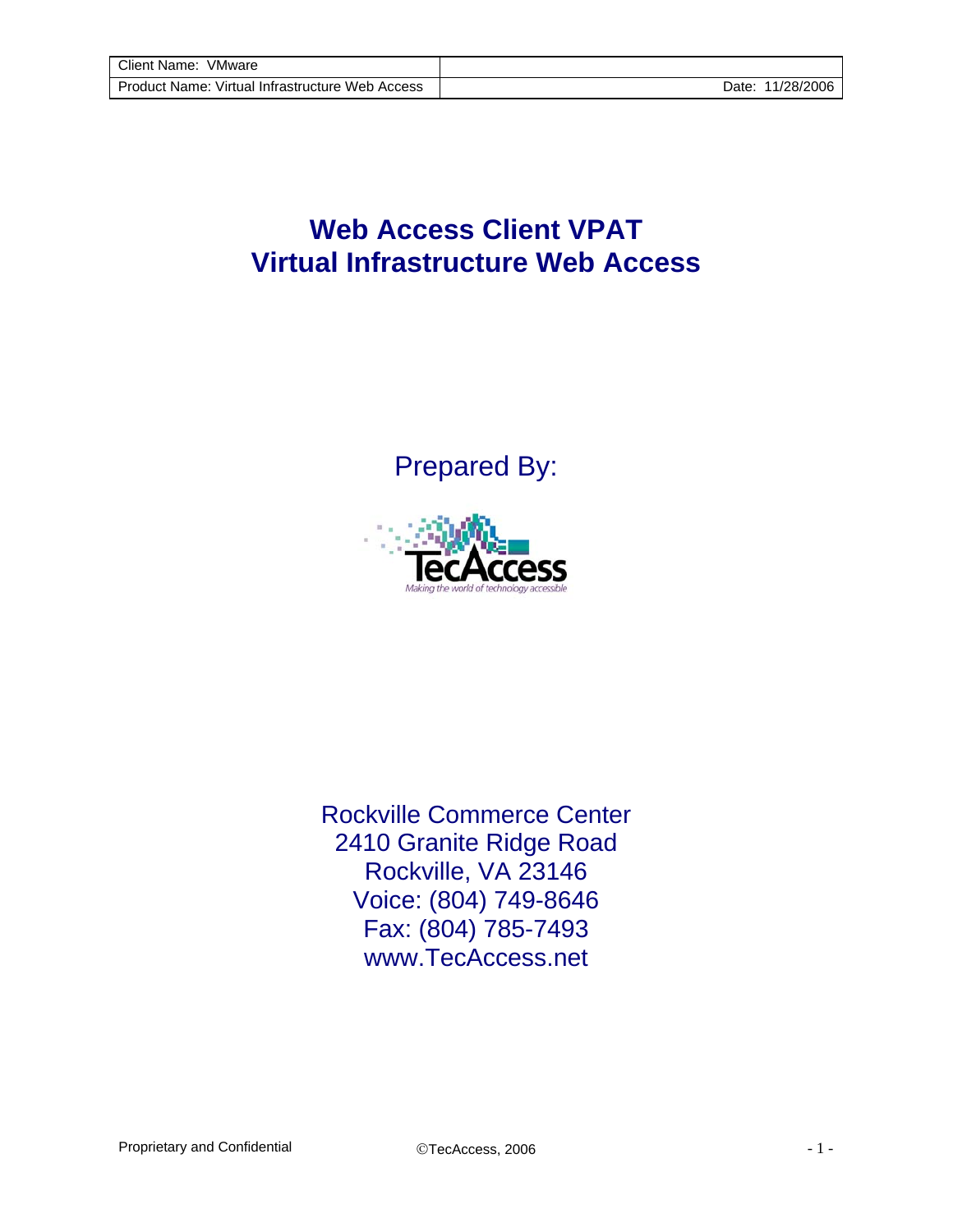## **Web Access Client VPAT Virtual Infrastructure Web Access**

Prepared By:



Rockville Commerce Center 2410 Granite Ridge Road Rockville, VA 23146 Voice: (804) 749-8646 Fax: (804) 785-7493 www.TecAccess.net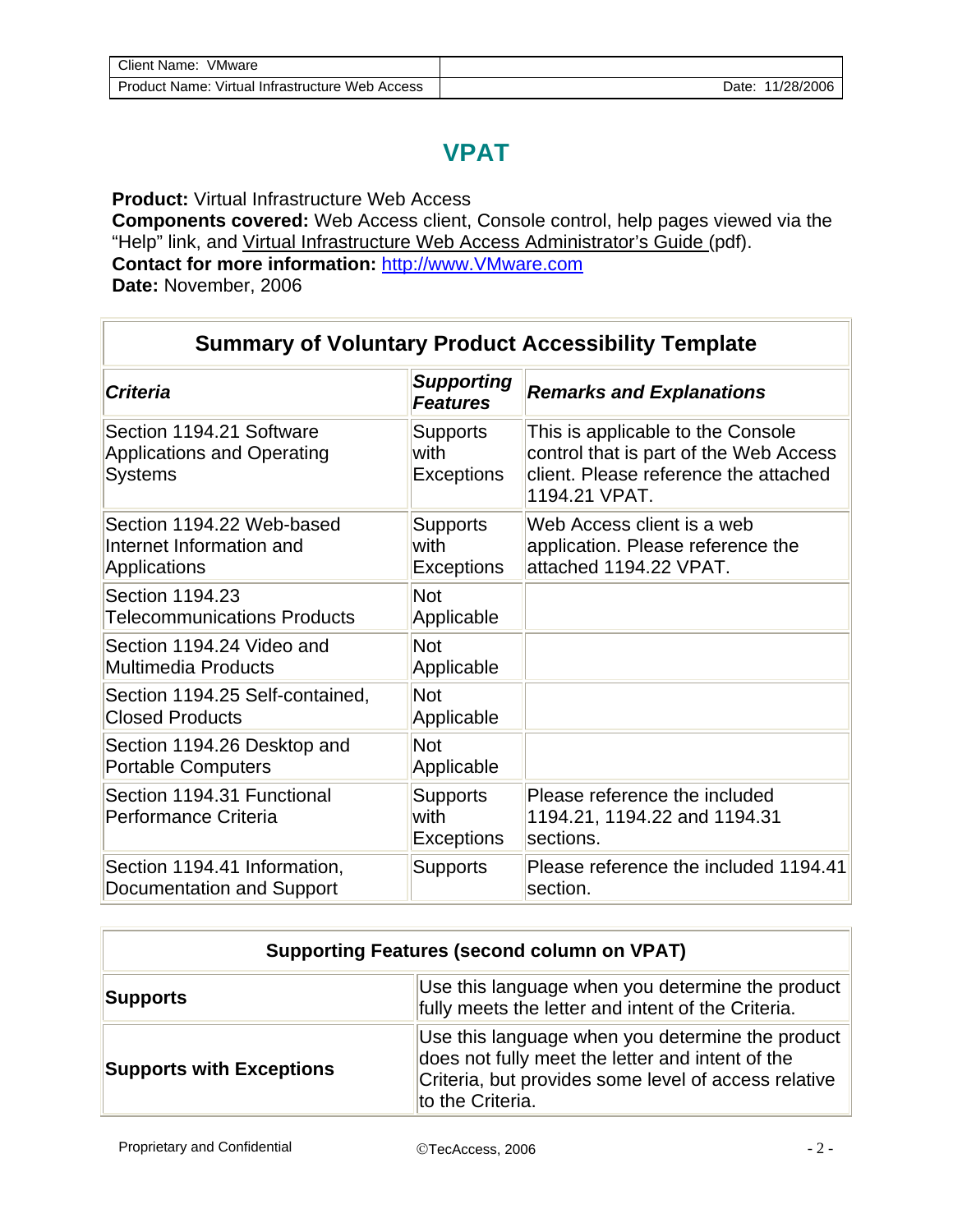## **VPAT**

**Product:** Virtual Infrastructure Web Access **Components covered:** Web Access client, Console control, help pages viewed via the "Help" link, and Virtual Infrastructure Web Access Administrator's Guide (pdf). **Contact for more information:** http://www.VMware.com **Date:** November, 2006

| <b>Criteria</b>                                                                 | <b>Supporting</b><br><b>Features</b>         | <b>Remarks and Explanations</b>                                                                                                       |
|---------------------------------------------------------------------------------|----------------------------------------------|---------------------------------------------------------------------------------------------------------------------------------------|
| Section 1194.21 Software<br><b>Applications and Operating</b><br><b>Systems</b> | <b>Supports</b><br>with<br><b>Exceptions</b> | This is applicable to the Console<br>control that is part of the Web Access<br>client. Please reference the attached<br>1194.21 VPAT. |
| Section 1194.22 Web-based<br>Internet Information and<br>Applications           | <b>Supports</b><br>with<br><b>Exceptions</b> | Web Access client is a web<br>application. Please reference the<br>attached 1194.22 VPAT.                                             |
| Section 1194.23<br><b>Telecommunications Products</b>                           | <b>Not</b><br>Applicable                     |                                                                                                                                       |
| Section 1194.24 Video and<br><b>Multimedia Products</b>                         | <b>Not</b><br>Applicable                     |                                                                                                                                       |
| Section 1194.25 Self-contained,<br><b>Closed Products</b>                       | <b>Not</b><br>Applicable                     |                                                                                                                                       |
| Section 1194.26 Desktop and<br><b>Portable Computers</b>                        | <b>Not</b><br>Applicable                     |                                                                                                                                       |
| Section 1194.31 Functional<br>Performance Criteria                              | <b>Supports</b><br>with<br><b>Exceptions</b> | Please reference the included<br>1194.21, 1194.22 and 1194.31<br>sections.                                                            |
| Section 1194.41 Information,<br>Documentation and Support                       | <b>Supports</b>                              | Please reference the included 1194.41<br>section.                                                                                     |

| <b>Supporting Features (second column on VPAT)</b> |                                                                                                                                                                                  |  |
|----------------------------------------------------|----------------------------------------------------------------------------------------------------------------------------------------------------------------------------------|--|
| Supports                                           | Use this language when you determine the product<br>fully meets the letter and intent of the Criteria.                                                                           |  |
| <b>Supports with Exceptions</b>                    | Use this language when you determine the product<br>does not fully meet the letter and intent of the<br>Criteria, but provides some level of access relative<br>to the Criteria. |  |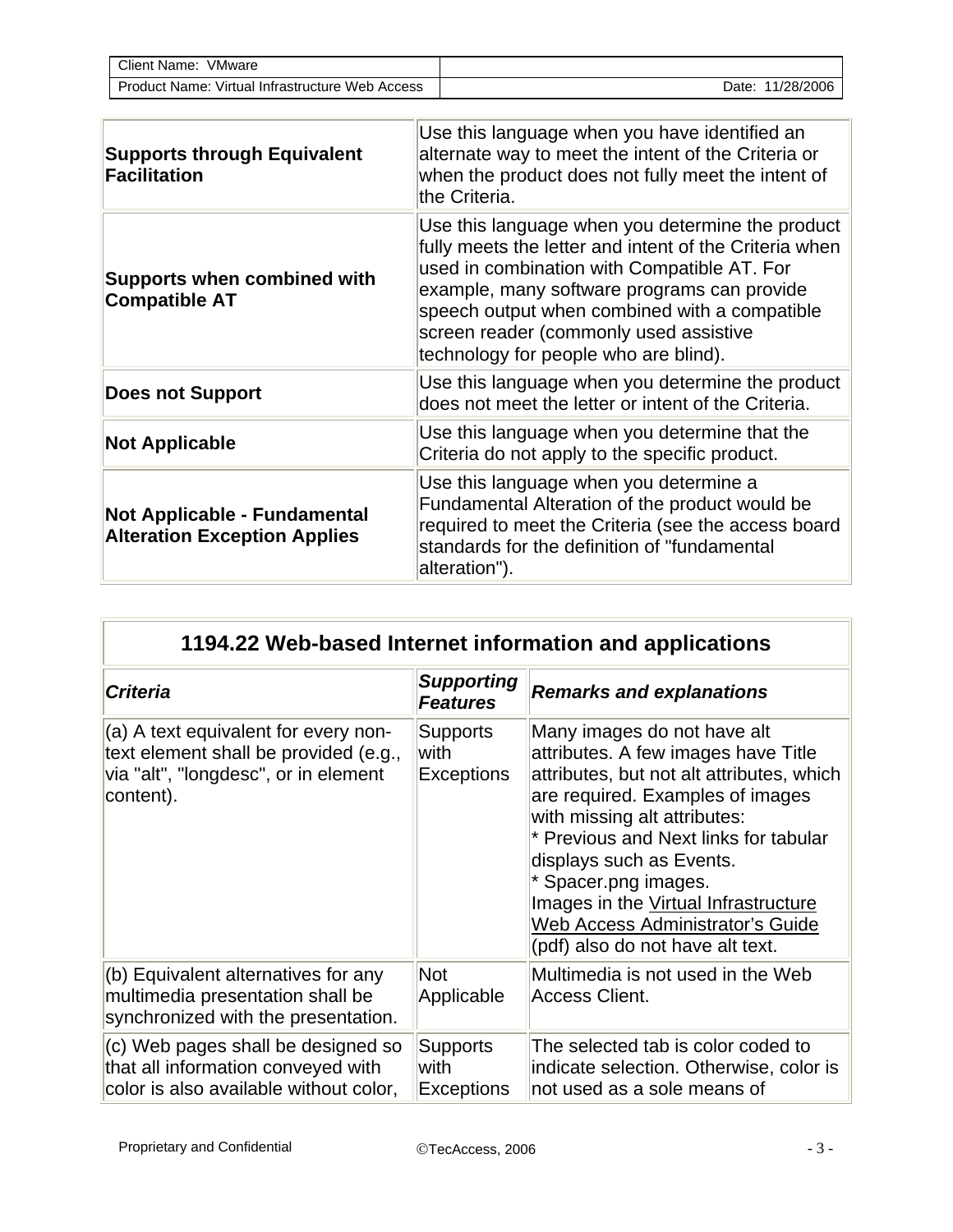| Client Name:<br>VMware                          |                     |
|-------------------------------------------------|---------------------|
| Product Name: Virtual Infrastructure Web Access | 11/28/2006<br>⊃ate: |

| <b>Supports through Equivalent</b><br>Facilitation                  | Use this language when you have identified an<br>alternate way to meet the intent of the Criteria or<br>when the product does not fully meet the intent of<br>the Criteria.                                                                                                                                                                  |
|---------------------------------------------------------------------|----------------------------------------------------------------------------------------------------------------------------------------------------------------------------------------------------------------------------------------------------------------------------------------------------------------------------------------------|
| <b>Supports when combined with</b><br><b>Compatible AT</b>          | Use this language when you determine the product<br>fully meets the letter and intent of the Criteria when<br>used in combination with Compatible AT. For<br>example, many software programs can provide<br>speech output when combined with a compatible<br>screen reader (commonly used assistive<br>technology for people who are blind). |
| <b>Does not Support</b>                                             | Use this language when you determine the product<br>does not meet the letter or intent of the Criteria.                                                                                                                                                                                                                                      |
| <b>Not Applicable</b>                                               | Use this language when you determine that the<br>Criteria do not apply to the specific product.                                                                                                                                                                                                                                              |
| Not Applicable - Fundamental<br><b>Alteration Exception Applies</b> | Use this language when you determine a<br>Fundamental Alteration of the product would be<br>required to meet the Criteria (see the access board<br>standards for the definition of "fundamental<br>alteration").                                                                                                                             |

## **1194.22 Web-based Internet information and applications**

| <b>Criteria</b>                                                                                                                      | <b>Supporting</b><br><b>Features</b>         | <b>Remarks and explanations</b>                                                                                                                                                                                                                                                                                                                                                                  |
|--------------------------------------------------------------------------------------------------------------------------------------|----------------------------------------------|--------------------------------------------------------------------------------------------------------------------------------------------------------------------------------------------------------------------------------------------------------------------------------------------------------------------------------------------------------------------------------------------------|
| $(a)$ A text equivalent for every non-<br>text element shall be provided (e.g.,<br>via "alt", "longdesc", or in element<br>content). | <b>Supports</b><br>with<br><b>Exceptions</b> | Many images do not have alt<br>attributes. A few images have Title<br>attributes, but not alt attributes, which<br>are required. Examples of images<br>with missing alt attributes:<br>* Previous and Next links for tabular<br>displays such as Events.<br>* Spacer.png images.<br>Images in the Virtual Infrastructure<br>Web Access Administrator's Guide<br>(pdf) also do not have alt text. |
| $ $ (b) Equivalent alternatives for any<br>multimedia presentation shall be<br>synchronized with the presentation.                   | <b>Not</b><br>Applicable                     | Multimedia is not used in the Web<br><b>Access Client.</b>                                                                                                                                                                                                                                                                                                                                       |
| $ $ (c) Web pages shall be designed so<br>that all information conveyed with<br>color is also available without color,               | <b>Supports</b><br>with<br>Exceptions        | The selected tab is color coded to<br>indicate selection. Otherwise, color is<br>not used as a sole means of                                                                                                                                                                                                                                                                                     |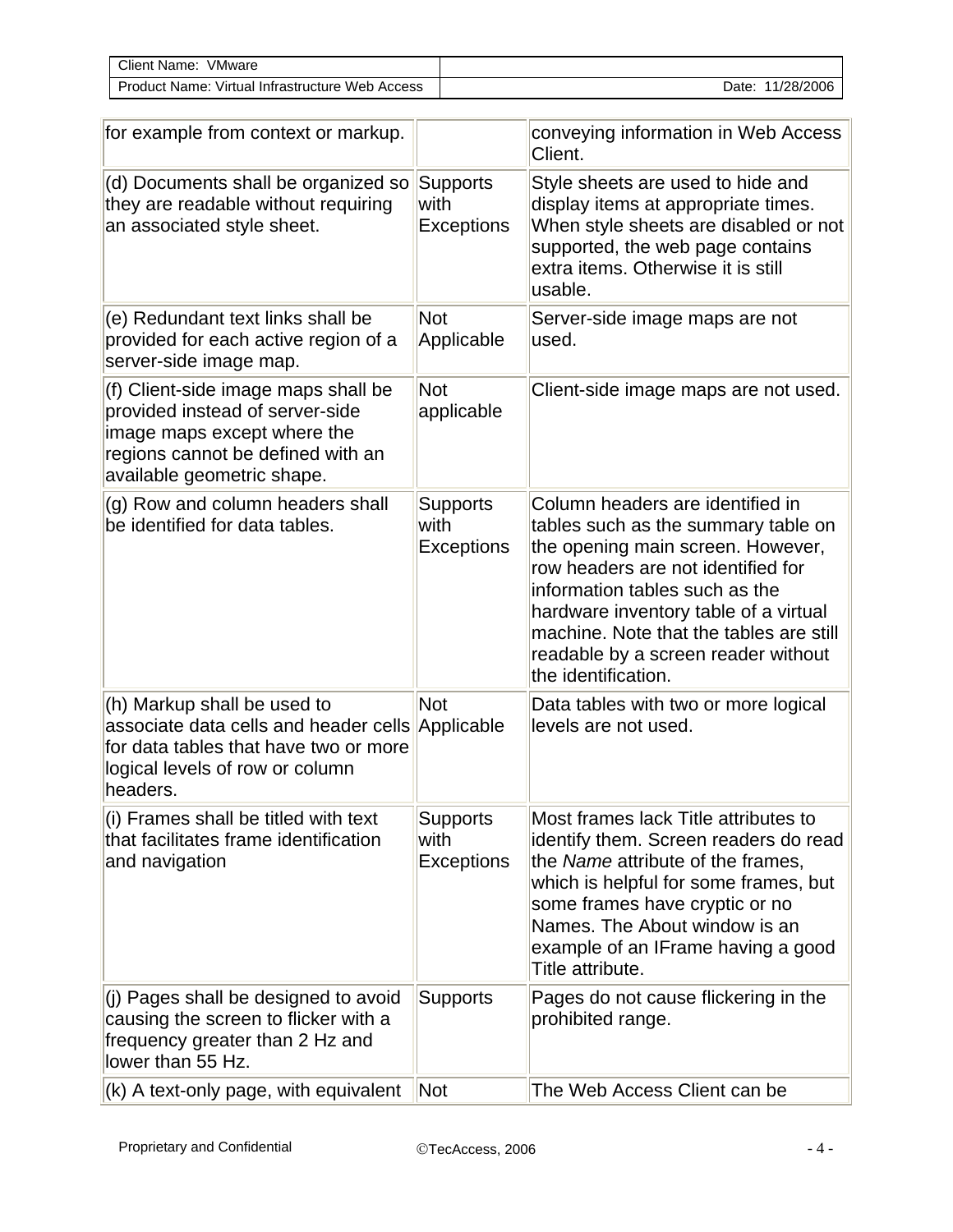| Client Name:<br>VMware            |            |
|-----------------------------------|------------|
| Virtual Infrastructure Web Access | 11/28/2006 |
| Product Name:                     | Date:      |

| for example from context or markup.                                                                                                                                      |                                              | conveying information in Web Access<br>Client.                                                                                                                                                                                                                                                                                         |
|--------------------------------------------------------------------------------------------------------------------------------------------------------------------------|----------------------------------------------|----------------------------------------------------------------------------------------------------------------------------------------------------------------------------------------------------------------------------------------------------------------------------------------------------------------------------------------|
| (d) Documents shall be organized so<br>they are readable without requiring<br>an associated style sheet.                                                                 | <b>Supports</b><br>with<br><b>Exceptions</b> | Style sheets are used to hide and<br>display items at appropriate times.<br>When style sheets are disabled or not<br>supported, the web page contains<br>extra items. Otherwise it is still<br>usable.                                                                                                                                 |
| (e) Redundant text links shall be<br>provided for each active region of a<br>server-side image map.                                                                      | <b>Not</b><br>Applicable                     | Server-side image maps are not<br>used.                                                                                                                                                                                                                                                                                                |
| (f) Client-side image maps shall be<br>provided instead of server-side<br>image maps except where the<br>regions cannot be defined with an<br>available geometric shape. | <b>Not</b><br>applicable                     | Client-side image maps are not used.                                                                                                                                                                                                                                                                                                   |
| (g) Row and column headers shall<br>be identified for data tables.                                                                                                       | <b>Supports</b><br>with<br><b>Exceptions</b> | Column headers are identified in<br>tables such as the summary table on<br>the opening main screen. However,<br>row headers are not identified for<br>information tables such as the<br>hardware inventory table of a virtual<br>machine. Note that the tables are still<br>readable by a screen reader without<br>the identification. |
| (h) Markup shall be used to<br>associate data cells and header cells<br>for data tables that have two or more<br>logical levels of row or column<br>headers.             | <b>Not</b><br>Applicable                     | Data tables with two or more logical<br>levels are not used.                                                                                                                                                                                                                                                                           |
| (i) Frames shall be titled with text<br>that facilitates frame identification<br>and navigation                                                                          | Supports<br>with<br><b>Exceptions</b>        | Most frames lack Title attributes to<br>identify them. Screen readers do read<br>the Name attribute of the frames,<br>which is helpful for some frames, but<br>some frames have cryptic or no<br>Names. The About window is an<br>example of an IFrame having a good<br>Title attribute.                                               |
| (j) Pages shall be designed to avoid<br>causing the screen to flicker with a<br>frequency greater than 2 Hz and<br>lower than 55 Hz.                                     | <b>Supports</b>                              | Pages do not cause flickering in the<br>prohibited range.                                                                                                                                                                                                                                                                              |
| (k) A text-only page, with equivalent                                                                                                                                    | Not                                          | The Web Access Client can be                                                                                                                                                                                                                                                                                                           |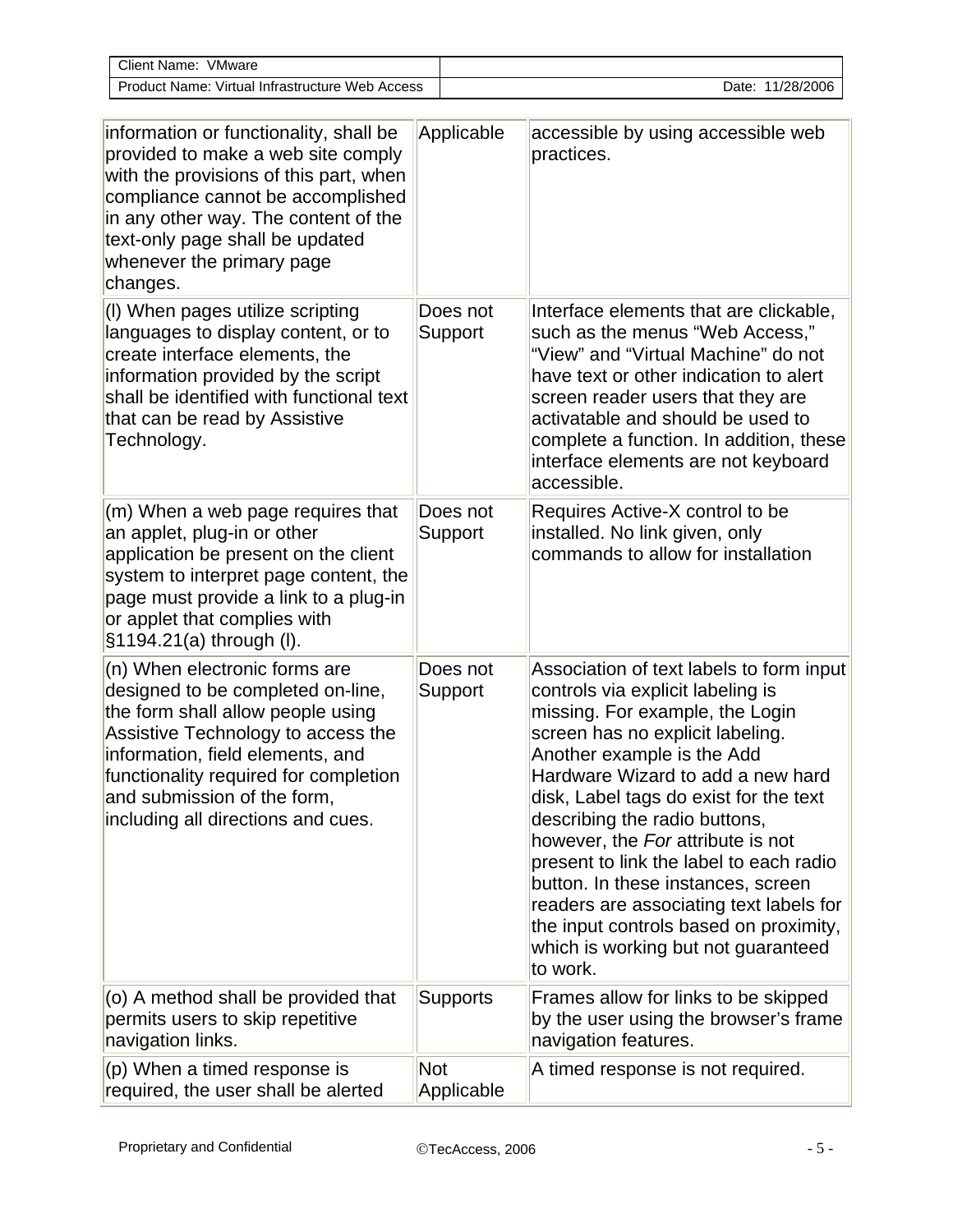| Client Name: VMware                                                                                                                                                                                                                                                                               |            |                     |                                                                                                                                                                                                                                                                                                                                                                                                                                                                                                                                                                  |
|---------------------------------------------------------------------------------------------------------------------------------------------------------------------------------------------------------------------------------------------------------------------------------------------------|------------|---------------------|------------------------------------------------------------------------------------------------------------------------------------------------------------------------------------------------------------------------------------------------------------------------------------------------------------------------------------------------------------------------------------------------------------------------------------------------------------------------------------------------------------------------------------------------------------------|
| Product Name: Virtual Infrastructure Web Access                                                                                                                                                                                                                                                   |            |                     | Date: 11/28/2006                                                                                                                                                                                                                                                                                                                                                                                                                                                                                                                                                 |
| information or functionality, shall be<br>provided to make a web site comply<br>with the provisions of this part, when<br>compliance cannot be accomplished<br>in any other way. The content of the<br>text-only page shall be updated<br>whenever the primary page<br>changes.                   |            | Applicable          | accessible by using accessible web<br>practices.                                                                                                                                                                                                                                                                                                                                                                                                                                                                                                                 |
| (I) When pages utilize scripting<br>languages to display content, or to<br>create interface elements, the<br>information provided by the script<br>shall be identified with functional text<br>that can be read by Assistive<br>Technology.                                                       |            | Does not<br>Support | Interface elements that are clickable,<br>such as the menus "Web Access,"<br>"View" and "Virtual Machine" do not<br>have text or other indication to alert<br>screen reader users that they are<br>activatable and should be used to<br>complete a function. In addition, these<br>interface elements are not keyboard<br>accessible.                                                                                                                                                                                                                            |
| $(m)$ When a web page requires that<br>an applet, plug-in or other<br>application be present on the client<br>system to interpret page content, the<br>page must provide a link to a plug-in<br>or applet that complies with<br>§1194.21(a) through (I).                                          |            | Does not<br>Support | Requires Active-X control to be<br>installed. No link given, only<br>commands to allow for installation                                                                                                                                                                                                                                                                                                                                                                                                                                                          |
| $(n)$ When electronic forms are<br>designed to be completed on-line,<br>the form shall allow people using<br>Assistive Technology to access the<br>information, field elements, and<br>functionality required for completion<br>and submission of the form,<br>including all directions and cues. |            | Does not<br>Support | Association of text labels to form input<br>controls via explicit labeling is<br>missing. For example, the Login<br>screen has no explicit labeling.<br>Another example is the Add<br>Hardware Wizard to add a new hard<br>disk, Label tags do exist for the text<br>describing the radio buttons,<br>however, the For attribute is not<br>present to link the label to each radio<br>button. In these instances, screen<br>readers are associating text labels for<br>the input controls based on proximity,<br>which is working but not guaranteed<br>to work. |
| (o) A method shall be provided that<br>permits users to skip repetitive<br>navigation links.                                                                                                                                                                                                      |            | <b>Supports</b>     | Frames allow for links to be skipped<br>by the user using the browser's frame<br>navigation features.                                                                                                                                                                                                                                                                                                                                                                                                                                                            |
| $(p)$ When a timed response is<br>required, the user shall be alerted                                                                                                                                                                                                                             | <b>Not</b> | Applicable          | A timed response is not required.                                                                                                                                                                                                                                                                                                                                                                                                                                                                                                                                |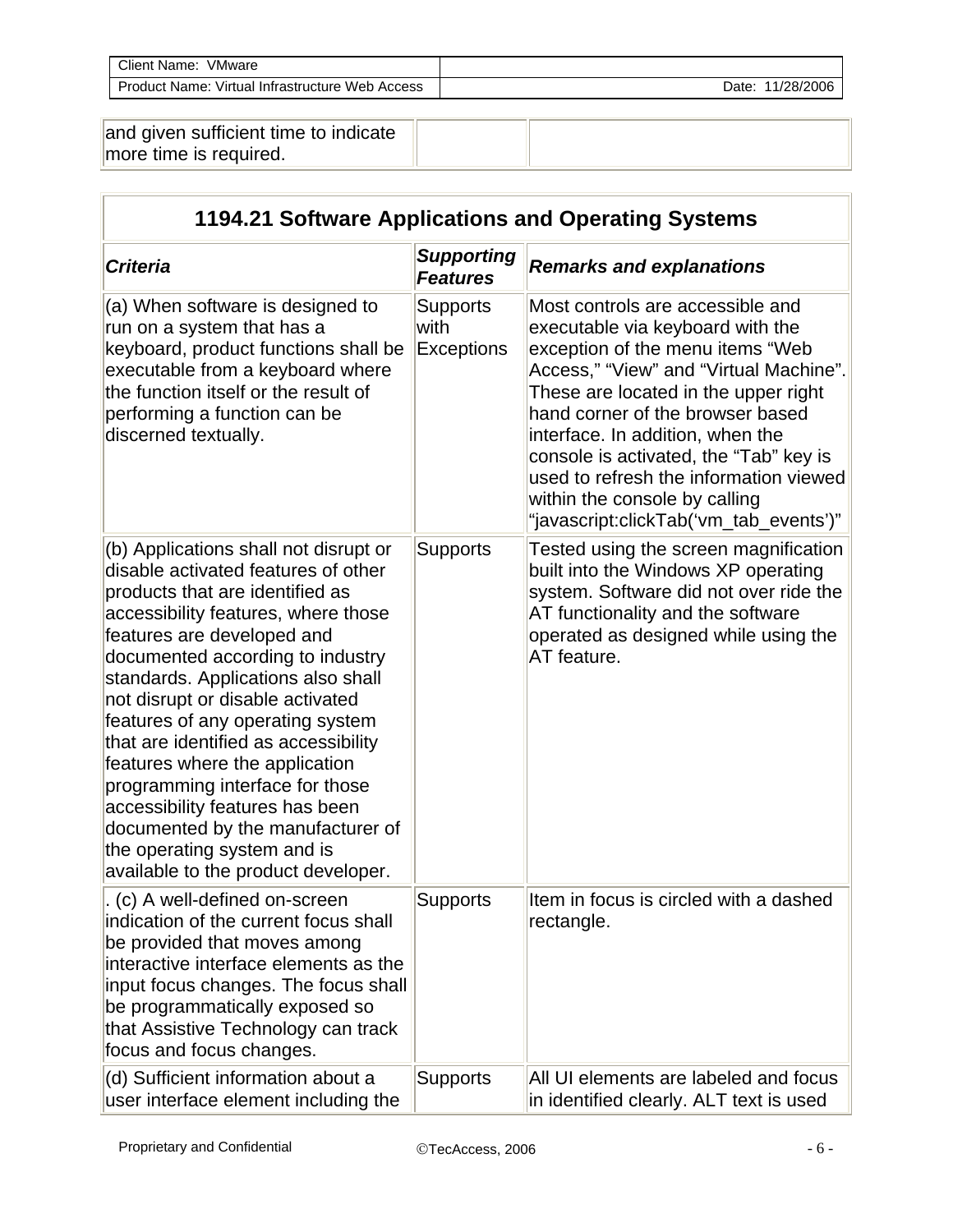| Client Name:<br>VMware                          |                     |
|-------------------------------------------------|---------------------|
| Product Name: Virtual Infrastructure Web Access | 11/28/2006<br>Date: |
|                                                 |                     |

| and given sufficient time to indicate |  |
|---------------------------------------|--|
| $\parallel$ more time is required.    |  |

| 1194.21 Software Applications and Operating Systems                                                                                                                                                                                                                                                                                                                                                                                                                                                                                                                                               |                                              |                                                                                                                                                                                                                                                                                                                                                                                                                                   |  |
|---------------------------------------------------------------------------------------------------------------------------------------------------------------------------------------------------------------------------------------------------------------------------------------------------------------------------------------------------------------------------------------------------------------------------------------------------------------------------------------------------------------------------------------------------------------------------------------------------|----------------------------------------------|-----------------------------------------------------------------------------------------------------------------------------------------------------------------------------------------------------------------------------------------------------------------------------------------------------------------------------------------------------------------------------------------------------------------------------------|--|
| <b>Criteria</b>                                                                                                                                                                                                                                                                                                                                                                                                                                                                                                                                                                                   | <b>Supporting</b><br><b>Features</b>         | <b>Remarks and explanations</b>                                                                                                                                                                                                                                                                                                                                                                                                   |  |
| (a) When software is designed to<br>run on a system that has a<br>keyboard, product functions shall be<br>executable from a keyboard where<br>the function itself or the result of<br>performing a function can be<br>discerned textually.                                                                                                                                                                                                                                                                                                                                                        | <b>Supports</b><br>with<br><b>Exceptions</b> | Most controls are accessible and<br>executable via keyboard with the<br>exception of the menu items "Web<br>Access," "View" and "Virtual Machine".<br>These are located in the upper right<br>hand corner of the browser based<br>interface. In addition, when the<br>console is activated, the "Tab" key is<br>used to refresh the information viewed<br>within the console by calling<br>"javascript:clickTab('vm_tab_events')" |  |
| (b) Applications shall not disrupt or<br>disable activated features of other<br>products that are identified as<br>accessibility features, where those<br>features are developed and<br>documented according to industry<br>standards. Applications also shall<br>not disrupt or disable activated<br>features of any operating system<br>that are identified as accessibility<br>features where the application<br>programming interface for those<br>accessibility features has been<br>documented by the manufacturer of<br>the operating system and is<br>available to the product developer. | <b>Supports</b>                              | Tested using the screen magnification<br>built into the Windows XP operating<br>system. Software did not over ride the<br>AT functionality and the software<br>operated as designed while using the<br>AT feature.                                                                                                                                                                                                                |  |
| (c) A well-defined on-screen<br>indication of the current focus shall<br>be provided that moves among<br>interactive interface elements as the<br>input focus changes. The focus shall<br>be programmatically exposed so<br>that Assistive Technology can track<br>focus and focus changes.                                                                                                                                                                                                                                                                                                       | Supports                                     | Item in focus is circled with a dashed<br>rectangle.                                                                                                                                                                                                                                                                                                                                                                              |  |
| (d) Sufficient information about a<br>user interface element including the                                                                                                                                                                                                                                                                                                                                                                                                                                                                                                                        | <b>Supports</b>                              | All UI elements are labeled and focus<br>in identified clearly. ALT text is used                                                                                                                                                                                                                                                                                                                                                  |  |

 $\overline{\Gamma}$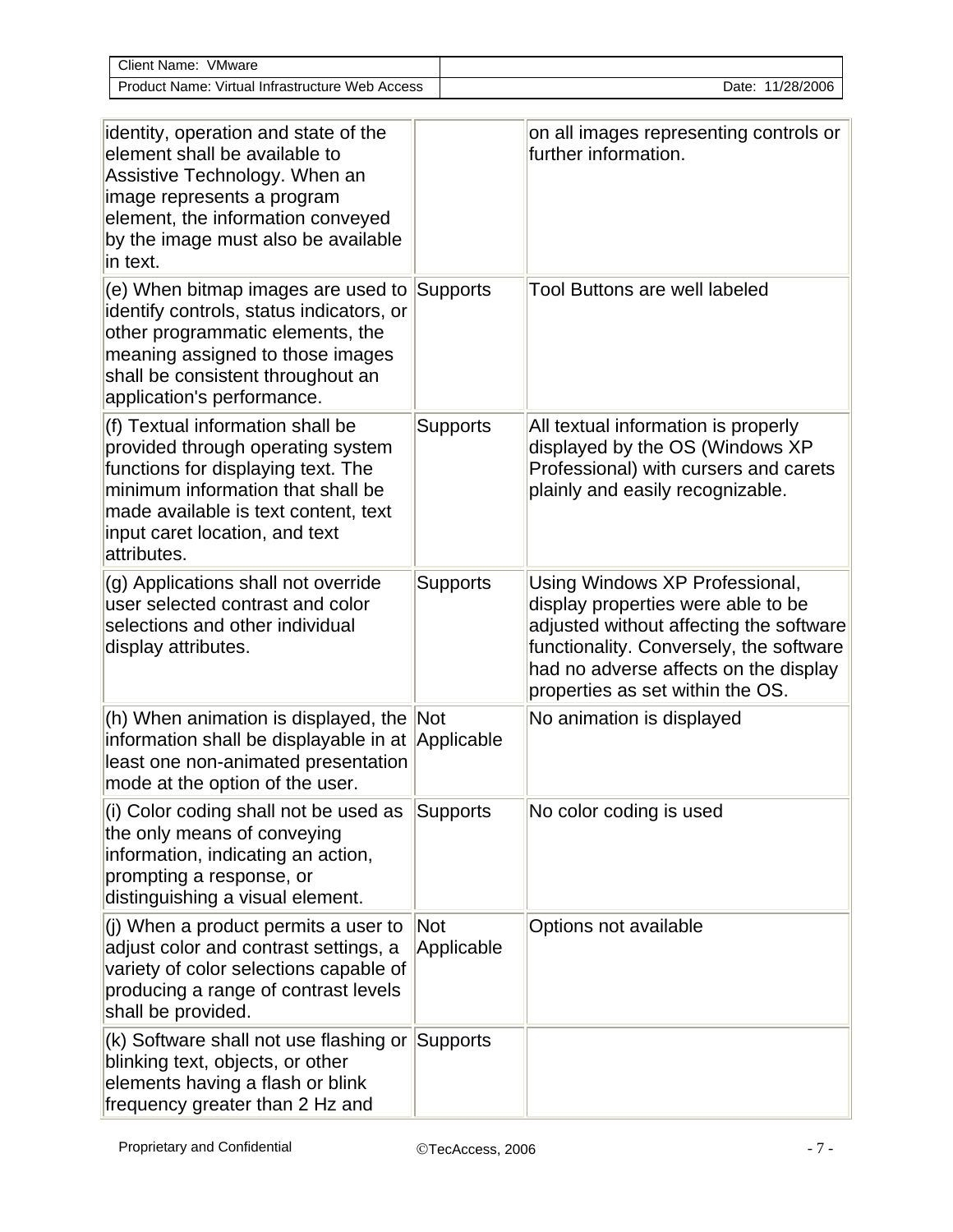| Client Name:<br>VMware                          |                     |
|-------------------------------------------------|---------------------|
| Product Name: Virtual Infrastructure Web Access | 11/28/2006<br>Date: |

| identity, operation and state of the<br>element shall be available to<br>Assistive Technology. When an<br>image represents a program<br>element, the information conveyed<br>by the image must also be available<br>in text.              |                   | on all images representing controls or<br>further information.                                                                                                                                                                          |
|-------------------------------------------------------------------------------------------------------------------------------------------------------------------------------------------------------------------------------------------|-------------------|-----------------------------------------------------------------------------------------------------------------------------------------------------------------------------------------------------------------------------------------|
| (e) When bitmap images are used to<br>identify controls, status indicators, or<br>other programmatic elements, the<br>meaning assigned to those images<br>shall be consistent throughout an<br>application's performance.                 | Supports          | Tool Buttons are well labeled                                                                                                                                                                                                           |
| (f) Textual information shall be<br>provided through operating system<br>functions for displaying text. The<br>minimum information that shall be<br>made available is text content, text<br>input caret location, and text<br>attributes. | <b>Supports</b>   | All textual information is properly<br>displayed by the OS (Windows XP<br>Professional) with cursers and carets<br>plainly and easily recognizable.                                                                                     |
| (g) Applications shall not override<br>user selected contrast and color<br>selections and other individual<br>display attributes.                                                                                                         | <b>Supports</b>   | Using Windows XP Professional,<br>display properties were able to be<br>adjusted without affecting the software<br>functionality. Conversely, the software<br>had no adverse affects on the display<br>properties as set within the OS. |
| (h) When animation is displayed, the Not<br>information shall be displayable in at Applicable<br>least one non-animated presentation<br>mode at the option of the user.                                                                   |                   | No animation is displayed                                                                                                                                                                                                               |
| (i) Color coding shall not be used as<br>the only means of conveying<br>information, indicating an action,<br>prompting a response, or<br>distinguishing a visual element.                                                                | Supports          | No color coding is used                                                                                                                                                                                                                 |
| $(i)$ When a product permits a user to<br>adjust color and contrast settings, a<br>variety of color selections capable of<br>producing a range of contrast levels<br>shall be provided.                                                   | Not<br>Applicable | Options not available                                                                                                                                                                                                                   |
| (k) Software shall not use flashing or Supports<br>blinking text, objects, or other<br>elements having a flash or blink<br>frequency greater than 2 Hz and                                                                                |                   |                                                                                                                                                                                                                                         |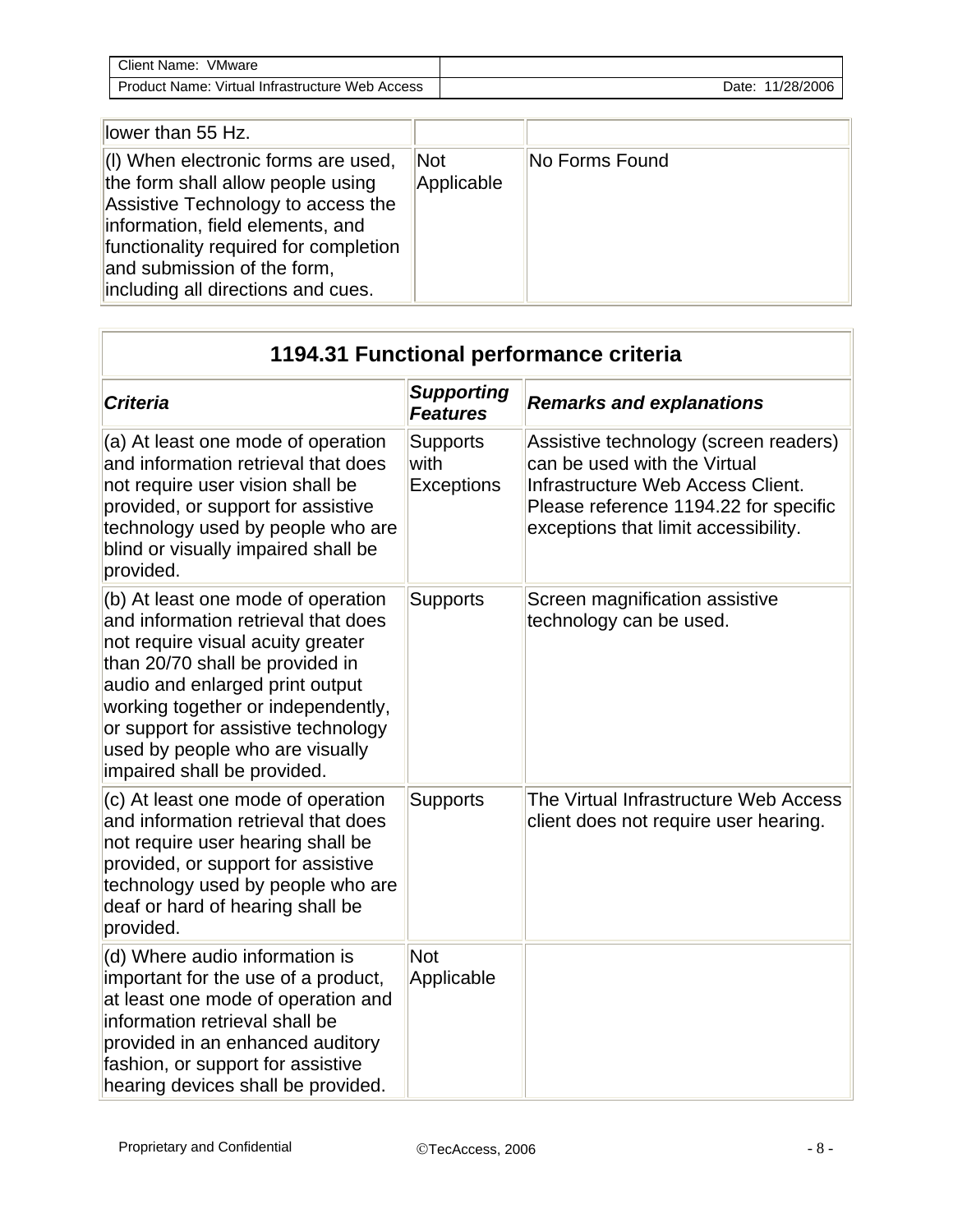| <b>Client Name:</b><br>VMware     |            |
|-----------------------------------|------------|
| Virtual Infrastructure Web Access | 11/28/2006 |
| Product Name:                     | Date:      |

| llower than 55 Hz.                                                                                                                                                                                                                                                           |                          |                |
|------------------------------------------------------------------------------------------------------------------------------------------------------------------------------------------------------------------------------------------------------------------------------|--------------------------|----------------|
| $\parallel$ (I) When electronic forms are used,<br>the form shall allow people using<br>Assistive Technology to access the<br>information, field elements, and<br>functionality required for completion<br>and submission of the form,<br>including all directions and cues. | <b>Not</b><br>Applicable | No Forms Found |

| 1194.31 Functional performance criteria                                                                                                                                                                                                                                                                                             |                                              |                                                                                                                                                                                             |
|-------------------------------------------------------------------------------------------------------------------------------------------------------------------------------------------------------------------------------------------------------------------------------------------------------------------------------------|----------------------------------------------|---------------------------------------------------------------------------------------------------------------------------------------------------------------------------------------------|
| <b>Criteria</b>                                                                                                                                                                                                                                                                                                                     | <b>Supporting</b><br><b>Features</b>         | <b>Remarks and explanations</b>                                                                                                                                                             |
| (a) At least one mode of operation<br>and information retrieval that does<br>not require user vision shall be<br>provided, or support for assistive<br>technology used by people who are<br>blind or visually impaired shall be<br>provided.                                                                                        | <b>Supports</b><br>with<br><b>Exceptions</b> | Assistive technology (screen readers)<br>can be used with the Virtual<br>Infrastructure Web Access Client.<br>Please reference 1194.22 for specific<br>exceptions that limit accessibility. |
| (b) At least one mode of operation<br>and information retrieval that does<br>not require visual acuity greater<br>than 20/70 shall be provided in<br>audio and enlarged print output<br>working together or independently,<br>or support for assistive technology<br>used by people who are visually<br>impaired shall be provided. | <b>Supports</b>                              | Screen magnification assistive<br>technology can be used.                                                                                                                                   |
| (c) At least one mode of operation<br>and information retrieval that does<br>not require user hearing shall be<br>provided, or support for assistive<br>technology used by people who are<br>deaf or hard of hearing shall be<br>provided.                                                                                          | <b>Supports</b>                              | The Virtual Infrastructure Web Access<br>client does not require user hearing.                                                                                                              |
| (d) Where audio information is<br>important for the use of a product,<br>at least one mode of operation and<br>information retrieval shall be<br>provided in an enhanced auditory<br>fashion, or support for assistive<br>hearing devices shall be provided.                                                                        | <b>Not</b><br>Applicable                     |                                                                                                                                                                                             |

нí